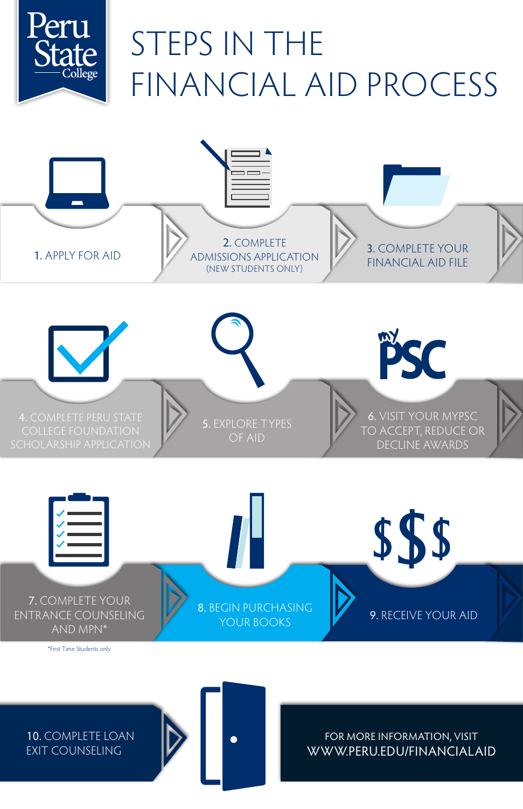# FOR MORE INFORMATION, VISIT WWW.PERU.EDU/FINANCIALAID

# 10. COMPLETE LOAN EXIT COUNSELING



## 8. BEGIN PURCHASING YOUR BOOKS **WE SEE ALSO BEE** 9. RECEIVE YOUR AID

## 7. COMPLETE YOUR ENTRANCE COUNSELING AND MPN\*

\*First Time Students only.